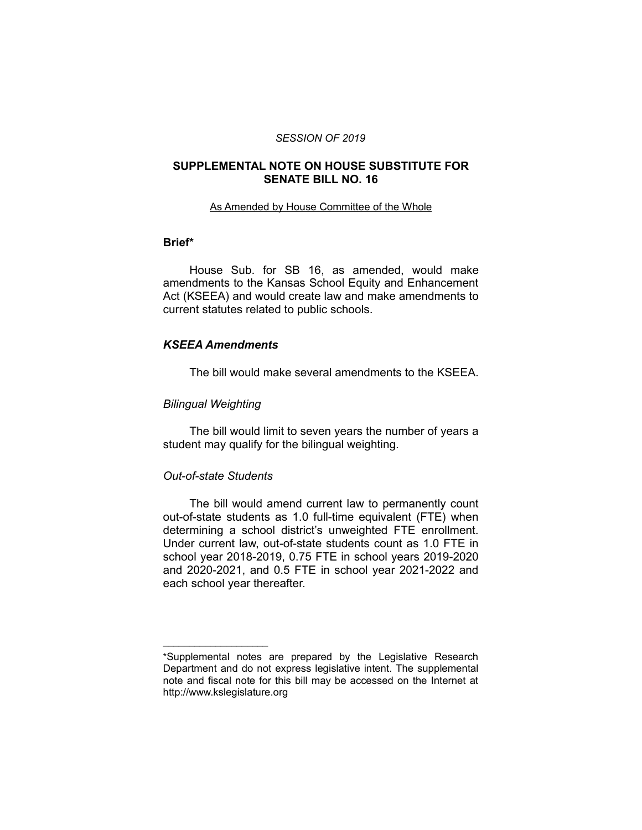#### *SESSION OF 2019*

# **SUPPLEMENTAL NOTE ON HOUSE SUBSTITUTE FOR SENATE BILL NO. 16**

#### As Amended by House Committee of the Whole

# **Brief\***

House Sub. for SB 16, as amended, would make amendments to the Kansas School Equity and Enhancement Act (KSEEA) and would create law and make amendments to current statutes related to public schools.

# *KSEEA Amendments*

The bill would make several amendments to the KSEEA.

### *Bilingual Weighting*

The bill would limit to seven years the number of years a student may qualify for the bilingual weighting.

### *Out-of-state Students*

 $\overline{\phantom{a}}$  , where  $\overline{\phantom{a}}$  , where  $\overline{\phantom{a}}$ 

The bill would amend current law to permanently count out-of-state students as 1.0 full-time equivalent (FTE) when determining a school district's unweighted FTE enrollment. Under current law, out-of-state students count as 1.0 FTE in school year 2018-2019, 0.75 FTE in school years 2019-2020 and 2020-2021, and 0.5 FTE in school year 2021-2022 and each school year thereafter.

<sup>\*</sup>Supplemental notes are prepared by the Legislative Research Department and do not express legislative intent. The supplemental note and fiscal note for this bill may be accessed on the Internet at http://www.kslegislature.org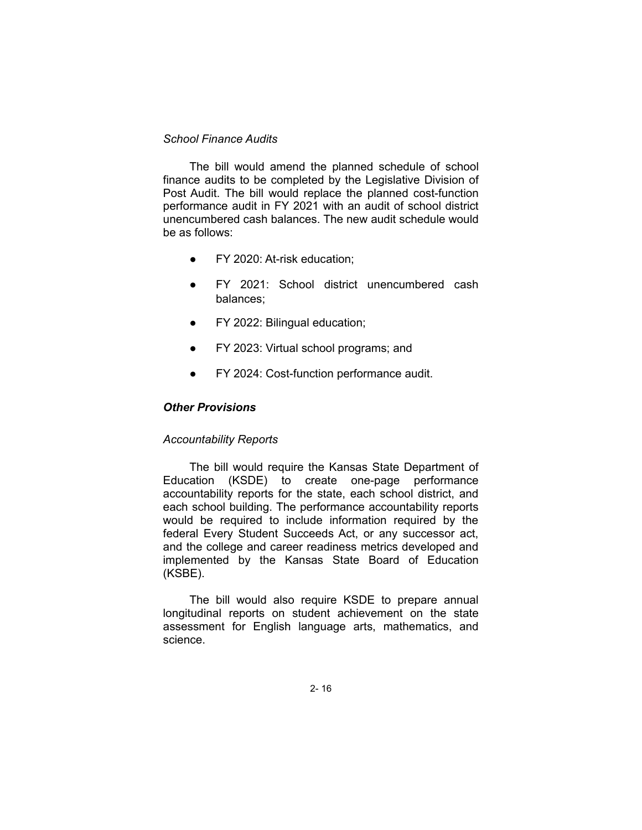# *School Finance Audits*

The bill would amend the planned schedule of school finance audits to be completed by the Legislative Division of Post Audit. The bill would replace the planned cost-function performance audit in FY 2021 with an audit of school district unencumbered cash balances. The new audit schedule would be as follows:

- FY 2020: At-risk education;
- FY 2021: School district unencumbered cash balances;
- FY 2022: Bilingual education;
- FY 2023: Virtual school programs; and
- FY 2024: Cost-function performance audit.

# *Other Provisions*

### *Accountability Reports*

The bill would require the Kansas State Department of Education (KSDE) to create one-page performance accountability reports for the state, each school district, and each school building. The performance accountability reports would be required to include information required by the federal Every Student Succeeds Act, or any successor act, and the college and career readiness metrics developed and implemented by the Kansas State Board of Education (KSBE).

The bill would also require KSDE to prepare annual longitudinal reports on student achievement on the state assessment for English language arts, mathematics, and science.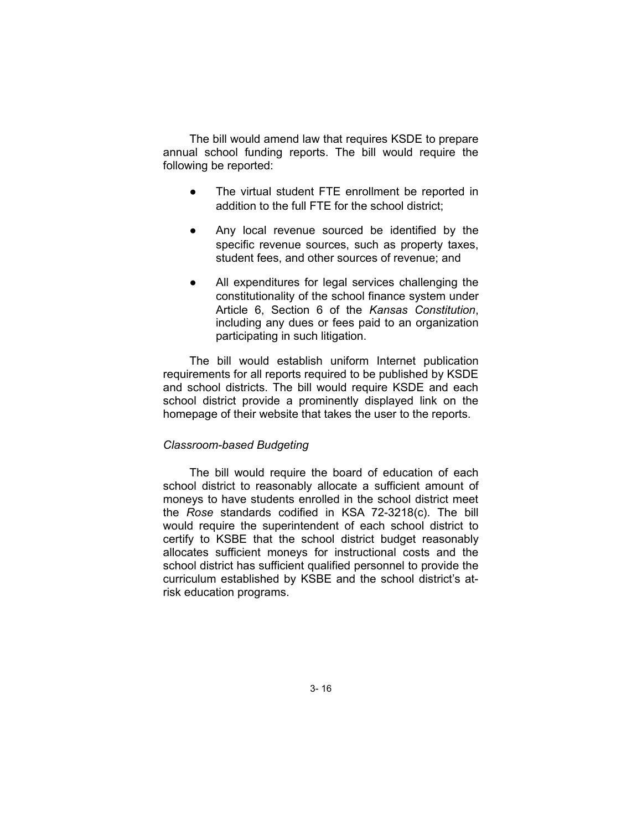The bill would amend law that requires KSDE to prepare annual school funding reports. The bill would require the following be reported:

- The virtual student FTE enrollment be reported in addition to the full FTE for the school district;
- Any local revenue sourced be identified by the specific revenue sources, such as property taxes, student fees, and other sources of revenue; and
- All expenditures for legal services challenging the constitutionality of the school finance system under Article 6, Section 6 of the *Kansas Constitution*, including any dues or fees paid to an organization participating in such litigation.

The bill would establish uniform Internet publication requirements for all reports required to be published by KSDE and school districts. The bill would require KSDE and each school district provide a prominently displayed link on the homepage of their website that takes the user to the reports.

# *Classroom-based Budgeting*

The bill would require the board of education of each school district to reasonably allocate a sufficient amount of moneys to have students enrolled in the school district meet the *Rose* standards codified in KSA 72-3218(c). The bill would require the superintendent of each school district to certify to KSBE that the school district budget reasonably allocates sufficient moneys for instructional costs and the school district has sufficient qualified personnel to provide the curriculum established by KSBE and the school district's atrisk education programs.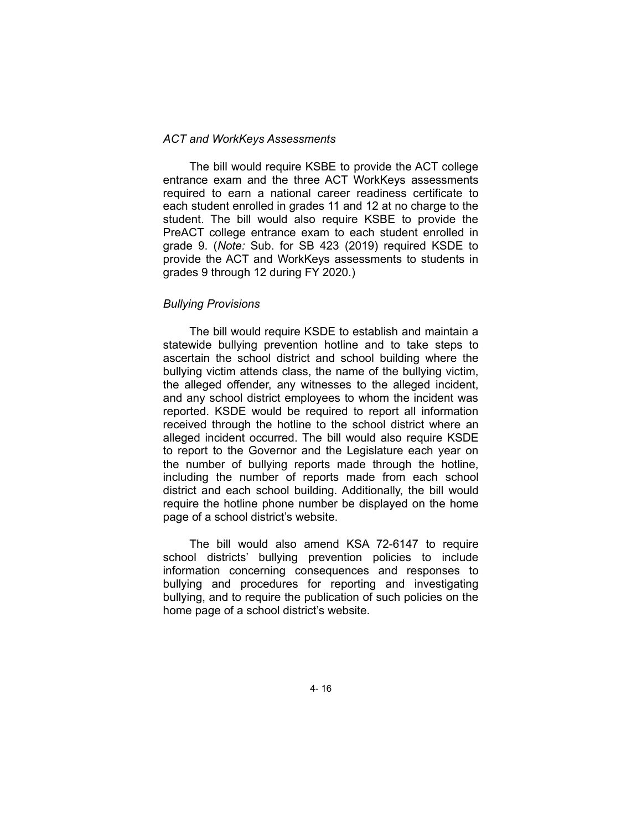# *ACT and WorkKeys Assessments*

The bill would require KSBE to provide the ACT college entrance exam and the three ACT WorkKeys assessments required to earn a national career readiness certificate to each student enrolled in grades 11 and 12 at no charge to the student. The bill would also require KSBE to provide the PreACT college entrance exam to each student enrolled in grade 9. (*Note:* Sub. for SB 423 (2019) required KSDE to provide the ACT and WorkKeys assessments to students in grades 9 through 12 during FY 2020.)

#### *Bullying Provisions*

The bill would require KSDE to establish and maintain a statewide bullying prevention hotline and to take steps to ascertain the school district and school building where the bullying victim attends class, the name of the bullying victim, the alleged offender, any witnesses to the alleged incident, and any school district employees to whom the incident was reported. KSDE would be required to report all information received through the hotline to the school district where an alleged incident occurred. The bill would also require KSDE to report to the Governor and the Legislature each year on the number of bullying reports made through the hotline, including the number of reports made from each school district and each school building. Additionally, the bill would require the hotline phone number be displayed on the home page of a school district's website.

The bill would also amend KSA 72-6147 to require school districts' bullying prevention policies to include information concerning consequences and responses to bullying and procedures for reporting and investigating bullying, and to require the publication of such policies on the home page of a school district's website.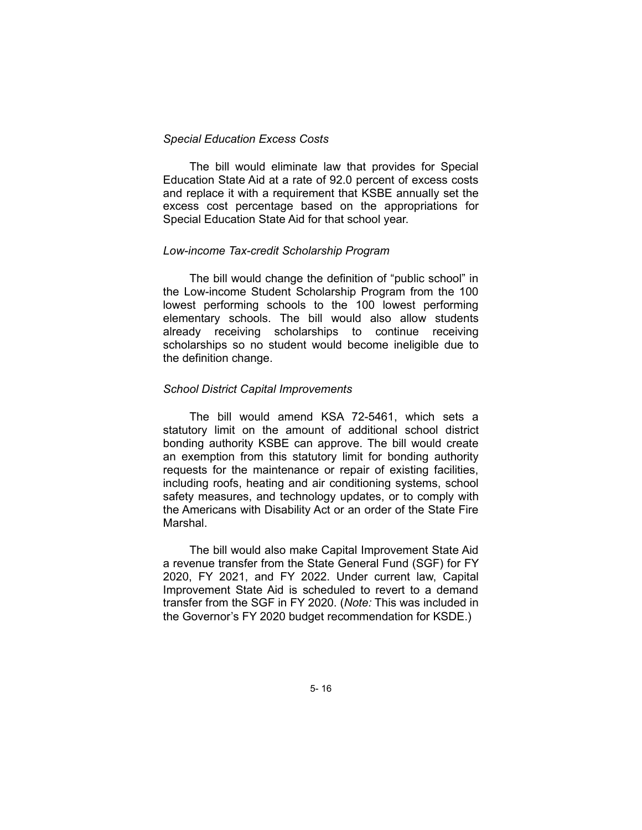# *Special Education Excess Costs*

The bill would eliminate law that provides for Special Education State Aid at a rate of 92.0 percent of excess costs and replace it with a requirement that KSBE annually set the excess cost percentage based on the appropriations for Special Education State Aid for that school year.

#### *Low-income Tax-credit Scholarship Program*

The bill would change the definition of "public school" in the Low-income Student Scholarship Program from the 100 lowest performing schools to the 100 lowest performing elementary schools. The bill would also allow students already receiving scholarships to continue receiving scholarships so no student would become ineligible due to the definition change.

#### *School District Capital Improvements*

The bill would amend KSA 72-5461, which sets a statutory limit on the amount of additional school district bonding authority KSBE can approve. The bill would create an exemption from this statutory limit for bonding authority requests for the maintenance or repair of existing facilities, including roofs, heating and air conditioning systems, school safety measures, and technology updates, or to comply with the Americans with Disability Act or an order of the State Fire Marshal.

The bill would also make Capital Improvement State Aid a revenue transfer from the State General Fund (SGF) for FY 2020, FY 2021, and FY 2022. Under current law, Capital Improvement State Aid is scheduled to revert to a demand transfer from the SGF in FY 2020. (*Note:* This was included in the Governor's FY 2020 budget recommendation for KSDE.)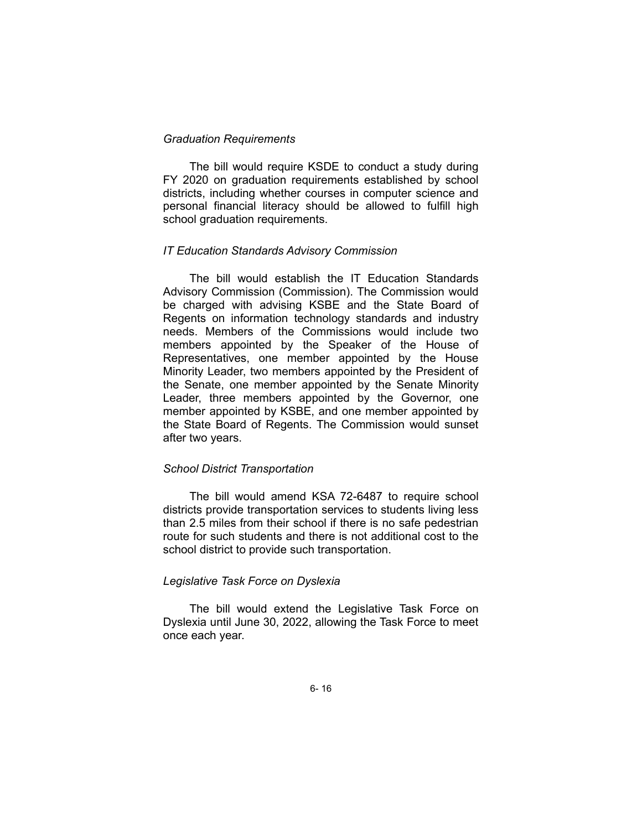### *Graduation Requirements*

The bill would require KSDE to conduct a study during FY 2020 on graduation requirements established by school districts, including whether courses in computer science and personal financial literacy should be allowed to fulfill high school graduation requirements.

### *IT Education Standards Advisory Commission*

The bill would establish the IT Education Standards Advisory Commission (Commission). The Commission would be charged with advising KSBE and the State Board of Regents on information technology standards and industry needs. Members of the Commissions would include two members appointed by the Speaker of the House of Representatives, one member appointed by the House Minority Leader, two members appointed by the President of the Senate, one member appointed by the Senate Minority Leader, three members appointed by the Governor, one member appointed by KSBE, and one member appointed by the State Board of Regents. The Commission would sunset after two years.

#### *School District Transportation*

The bill would amend KSA 72-6487 to require school districts provide transportation services to students living less than 2.5 miles from their school if there is no safe pedestrian route for such students and there is not additional cost to the school district to provide such transportation.

#### *Legislative Task Force on Dyslexia*

The bill would extend the Legislative Task Force on Dyslexia until June 30, 2022, allowing the Task Force to meet once each year.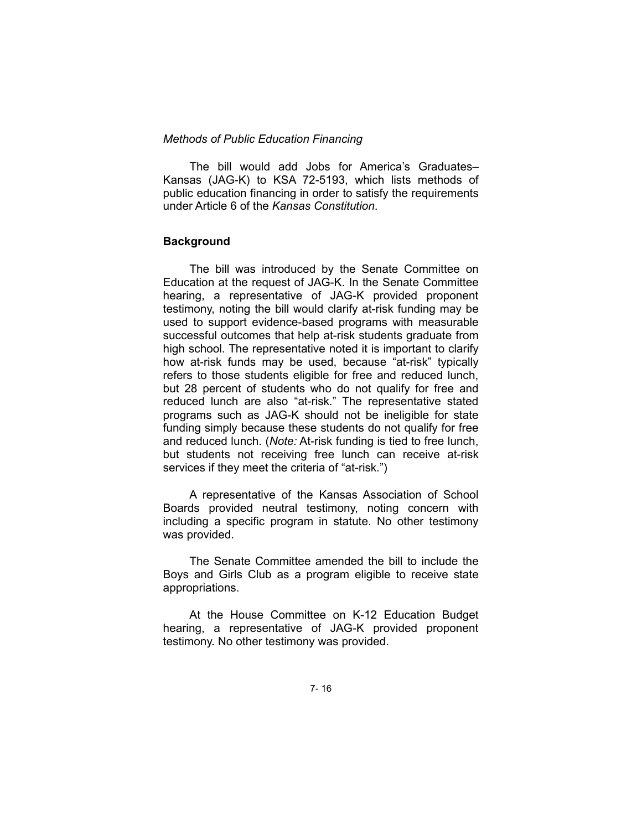### *Methods of Public Education Financing*

The bill would add Jobs for America's Graduates– Kansas (JAG-K) to KSA 72-5193, which lists methods of public education financing in order to satisfy the requirements under Article 6 of the *Kansas Constitution*.

# **Background**

The bill was introduced by the Senate Committee on Education at the request of JAG-K. In the Senate Committee hearing, a representative of JAG-K provided proponent testimony, noting the bill would clarify at-risk funding may be used to support evidence-based programs with measurable successful outcomes that help at-risk students graduate from high school. The representative noted it is important to clarify how at-risk funds may be used, because "at-risk" typically refers to those students eligible for free and reduced lunch, but 28 percent of students who do not qualify for free and reduced lunch are also "at-risk." The representative stated programs such as JAG-K should not be ineligible for state funding simply because these students do not qualify for free and reduced lunch. (*Note:* At-risk funding is tied to free lunch, but students not receiving free lunch can receive at-risk services if they meet the criteria of "at-risk.")

A representative of the Kansas Association of School Boards provided neutral testimony, noting concern with including a specific program in statute. No other testimony was provided.

The Senate Committee amended the bill to include the Boys and Girls Club as a program eligible to receive state appropriations.

At the House Committee on K-12 Education Budget hearing, a representative of JAG-K provided proponent testimony. No other testimony was provided.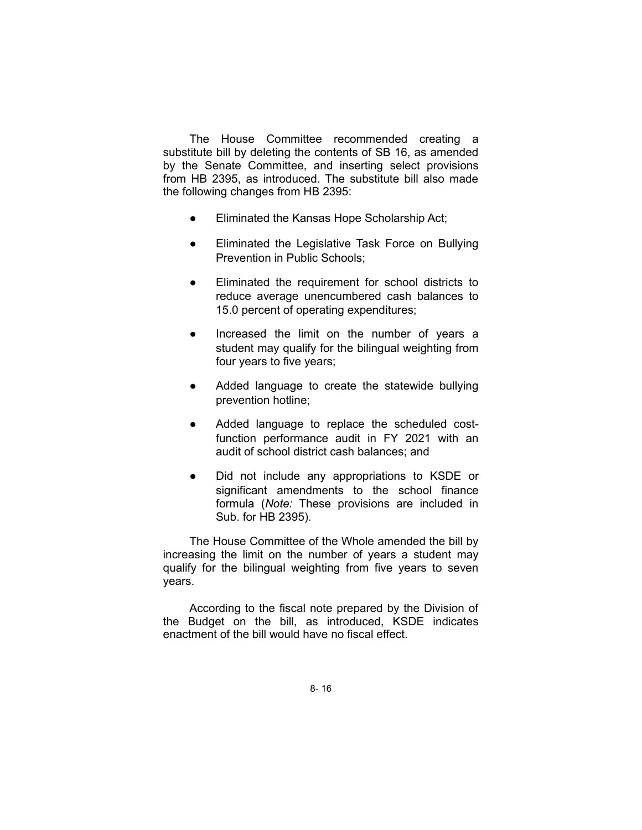The House Committee recommended creating a substitute bill by deleting the contents of SB 16, as amended by the Senate Committee, and inserting select provisions from HB 2395, as introduced. The substitute bill also made the following changes from HB 2395:

- Eliminated the Kansas Hope Scholarship Act;
- Eliminated the Legislative Task Force on Bullying Prevention in Public Schools;
- Eliminated the requirement for school districts to reduce average unencumbered cash balances to 15.0 percent of operating expenditures;
- Increased the limit on the number of years a student may qualify for the bilingual weighting from four years to five years;
- Added language to create the statewide bullying prevention hotline;
- Added language to replace the scheduled costfunction performance audit in FY 2021 with an audit of school district cash balances; and
- Did not include any appropriations to KSDE or significant amendments to the school finance formula (*Note:* These provisions are included in Sub. for HB 2395).

The House Committee of the Whole amended the bill by increasing the limit on the number of years a student may qualify for the bilingual weighting from five years to seven years.

According to the fiscal note prepared by the Division of the Budget on the bill, as introduced, KSDE indicates enactment of the bill would have no fiscal effect.